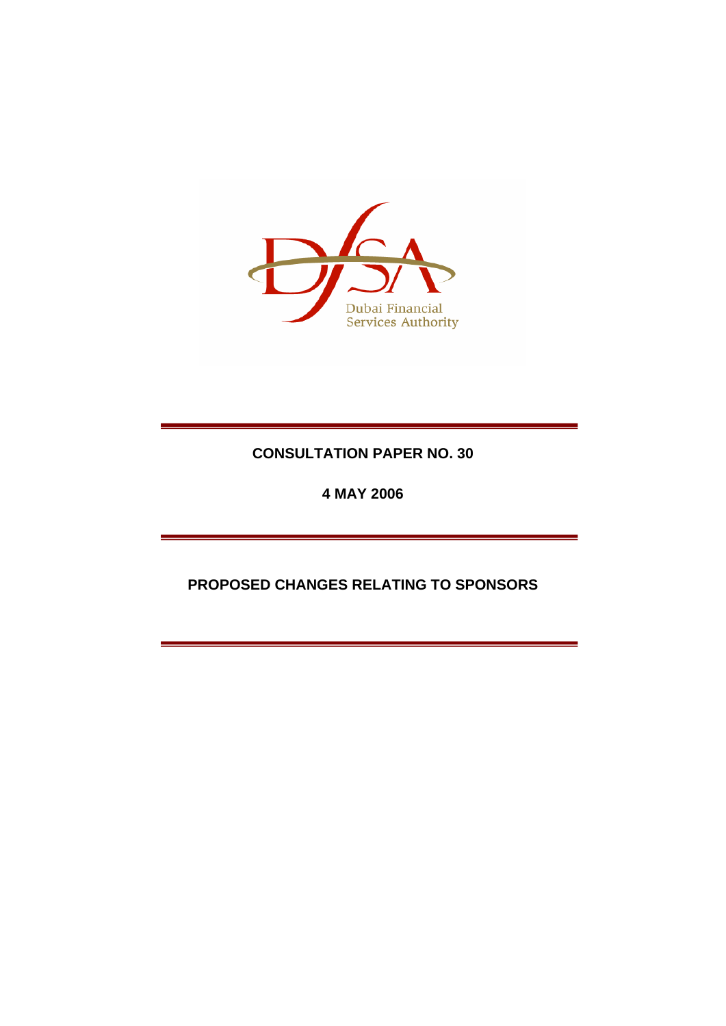

# **CONSULTATION PAPER NO. 30**

**4 MAY 2006** 

# **PROPOSED CHANGES RELATING TO SPONSORS**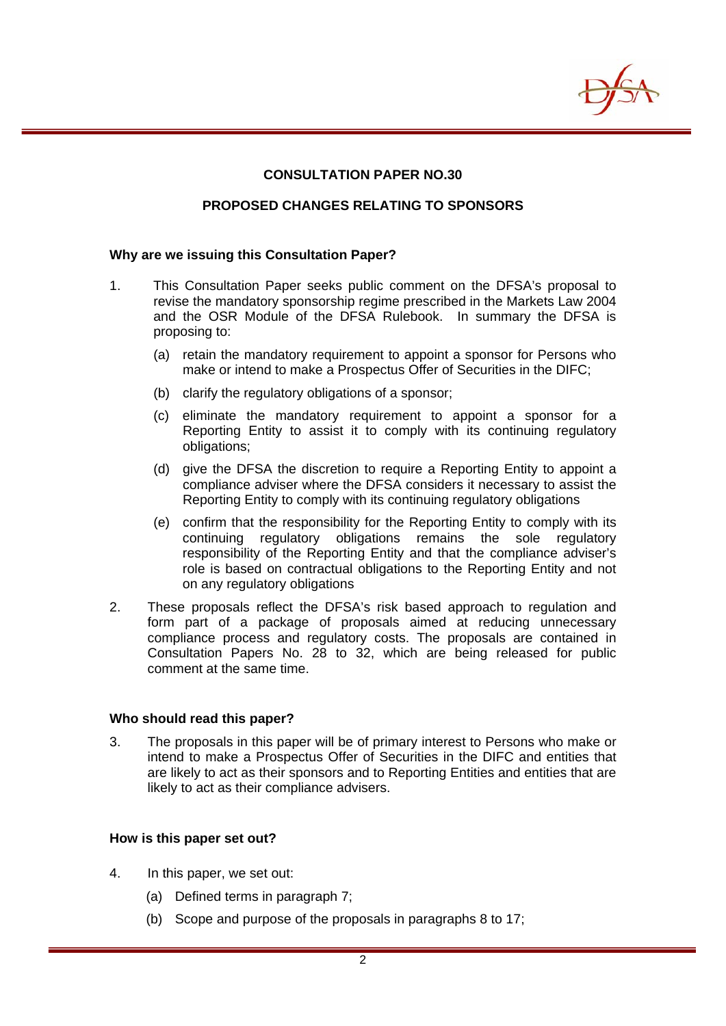

# **CONSULTATION PAPER NO.30**

#### **PROPOSED CHANGES RELATING TO SPONSORS**

#### **Why are we issuing this Consultation Paper?**

- 1. This Consultation Paper seeks public comment on the DFSA's proposal to revise the mandatory sponsorship regime prescribed in the Markets Law 2004 and the OSR Module of the DFSA Rulebook. In summary the DFSA is proposing to:
	- (a) retain the mandatory requirement to appoint a sponsor for Persons who make or intend to make a Prospectus Offer of Securities in the DIFC;
	- (b) clarify the regulatory obligations of a sponsor;
	- (c) eliminate the mandatory requirement to appoint a sponsor for a Reporting Entity to assist it to comply with its continuing regulatory obligations;
	- (d) give the DFSA the discretion to require a Reporting Entity to appoint a compliance adviser where the DFSA considers it necessary to assist the Reporting Entity to comply with its continuing regulatory obligations
	- (e) confirm that the responsibility for the Reporting Entity to comply with its continuing regulatory obligations remains the sole regulatory responsibility of the Reporting Entity and that the compliance adviser's role is based on contractual obligations to the Reporting Entity and not on any regulatory obligations
- 2. These proposals reflect the DFSA's risk based approach to regulation and form part of a package of proposals aimed at reducing unnecessary compliance process and regulatory costs. The proposals are contained in Consultation Papers No. 28 to 32, which are being released for public comment at the same time.

#### **Who should read this paper?**

3. The proposals in this paper will be of primary interest to Persons who make or intend to make a Prospectus Offer of Securities in the DIFC and entities that are likely to act as their sponsors and to Reporting Entities and entities that are likely to act as their compliance advisers.

#### **How is this paper set out?**

- 4. In this paper, we set out:
	- (a) Defined terms in paragraph 7;
	- (b) Scope and purpose of the proposals in paragraphs 8 to 17;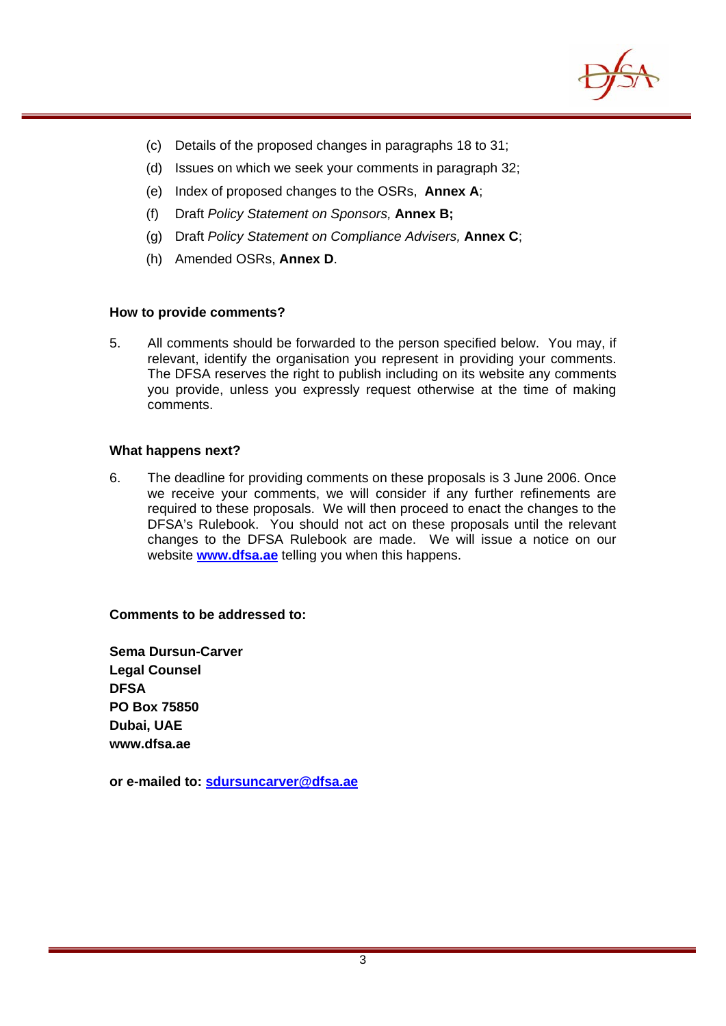

- (c) Details of the proposed changes in paragraphs 18 to 31;
- (d) Issues on which we seek your comments in paragraph 32;
- (e) Index of proposed changes to the OSRs, **Annex A**;
- (f) Draft *Policy Statement on Sponsors,* **Annex B;**
- (g) Draft *Policy Statement on Compliance Advisers,* **Annex C**;
- (h) Amended OSRs, **Annex D**.

#### **How to provide comments?**

5. All comments should be forwarded to the person specified below. You may, if relevant, identify the organisation you represent in providing your comments. The DFSA reserves the right to publish including on its website any comments you provide, unless you expressly request otherwise at the time of making comments.

#### **What happens next?**

6. The deadline for providing comments on these proposals is 3 June 2006. Once we receive your comments, we will consider if any further refinements are required to these proposals. We will then proceed to enact the changes to the DFSA's Rulebook. You should not act on these proposals until the relevant changes to the DFSA Rulebook are made. We will issue a notice on our website **[www.dfsa.ae](http://www.dfsa.ae/)** telling you when this happens.

# **Comments to be addressed to:**

**Sema Dursun-Carver Legal Counsel DFSA PO Box 75850 Dubai, UAE www.dfsa.ae** 

**or e-mailed to: [sdursuncarver@dfsa.ae](mailto:sdursuncarver@dfsa.ae)**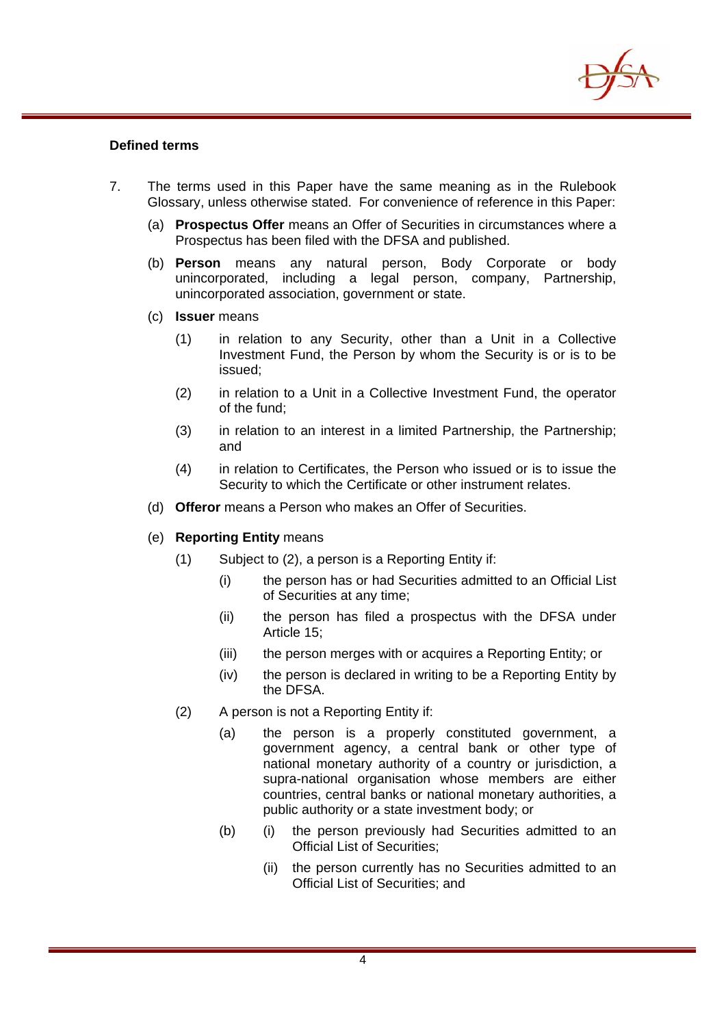

# **Defined terms**

- 7. The terms used in this Paper have the same meaning as in the Rulebook Glossary, unless otherwise stated. For convenience of reference in this Paper:
	- (a) **Prospectus Offer** means an Offer of Securities in circumstances where a Prospectus has been filed with the DFSA and published.
	- (b) **Person** means any natural person, Body Corporate or body unincorporated, including a legal person, company, Partnership, unincorporated association, government or state.
	- (c) **Issuer** means
		- (1) in relation to any Security, other than a Unit in a Collective Investment Fund, the Person by whom the Security is or is to be issued;
		- (2) in relation to a Unit in a Collective Investment Fund, the operator of the fund;
		- (3) in relation to an interest in a limited Partnership, the Partnership; and
		- (4) in relation to Certificates, the Person who issued or is to issue the Security to which the Certificate or other instrument relates.
	- (d) **Offeror** means a Person who makes an Offer of Securities.
	- (e) **Reporting Entity** means
		- (1) Subject to (2), a person is a Reporting Entity if:
			- (i) the person has or had Securities admitted to an Official List of Securities at any time;
			- (ii) the person has filed a prospectus with the DFSA under Article 15;
			- (iii) the person merges with or acquires a Reporting Entity; or
			- (iv) the person is declared in writing to be a Reporting Entity by the DFSA.
		- (2) A person is not a Reporting Entity if:
			- (a) the person is a properly constituted government, a government agency, a central bank or other type of national monetary authority of a country or jurisdiction, a supra-national organisation whose members are either countries, central banks or national monetary authorities, a public authority or a state investment body; or
			- (b) (i) the person previously had Securities admitted to an Official List of Securities;
				- (ii) the person currently has no Securities admitted to an Official List of Securities; and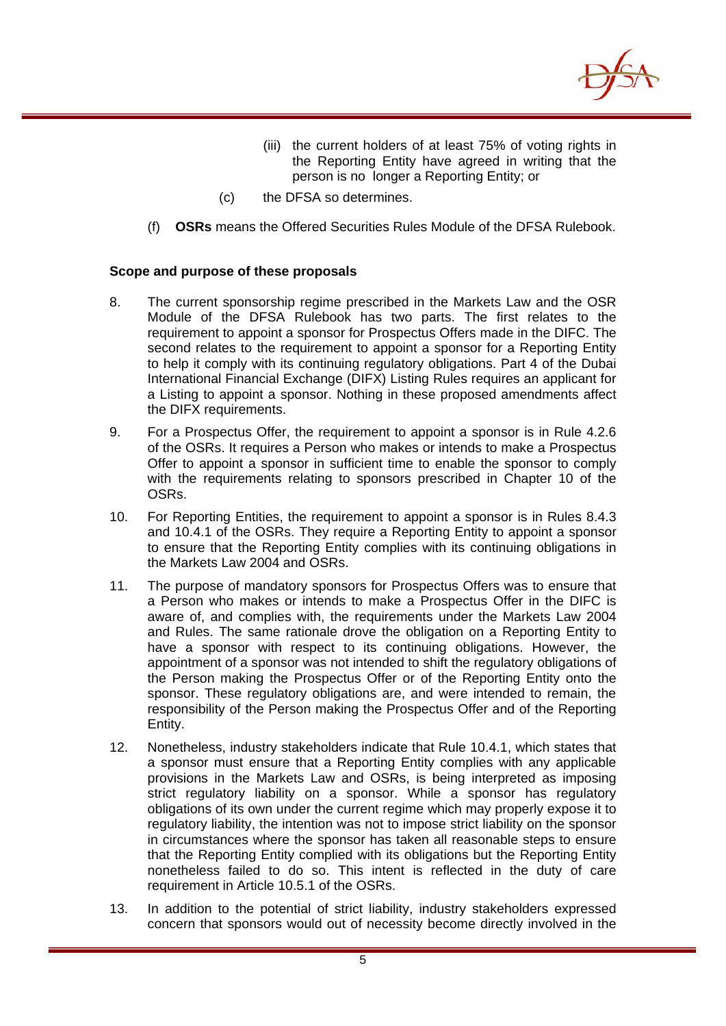

- (iii) the current holders of at least 75% of voting rights in the Reporting Entity have agreed in writing that the person is no longer a Reporting Entity; or
- (c) the DFSA so determines.
- (f) **OSRs** means the Offered Securities Rules Module of the DFSA Rulebook.

# **Scope and purpose of these proposals**

- 8. The current sponsorship regime prescribed in the Markets Law and the OSR Module of the DFSA Rulebook has two parts. The first relates to the requirement to appoint a sponsor for Prospectus Offers made in the DIFC. The second relates to the requirement to appoint a sponsor for a Reporting Entity to help it comply with its continuing regulatory obligations. Part 4 of the Dubai International Financial Exchange (DIFX) Listing Rules requires an applicant for a Listing to appoint a sponsor. Nothing in these proposed amendments affect the DIFX requirements.
- 9. For a Prospectus Offer, the requirement to appoint a sponsor is in Rule 4.2.6 of the OSRs. It requires a Person who makes or intends to make a Prospectus Offer to appoint a sponsor in sufficient time to enable the sponsor to comply with the requirements relating to sponsors prescribed in Chapter 10 of the OSRs.
- 10. For Reporting Entities, the requirement to appoint a sponsor is in Rules 8.4.3 and 10.4.1 of the OSRs. They require a Reporting Entity to appoint a sponsor to ensure that the Reporting Entity complies with its continuing obligations in the Markets Law 2004 and OSRs.
- 11. The purpose of mandatory sponsors for Prospectus Offers was to ensure that a Person who makes or intends to make a Prospectus Offer in the DIFC is aware of, and complies with, the requirements under the Markets Law 2004 and Rules. The same rationale drove the obligation on a Reporting Entity to have a sponsor with respect to its continuing obligations. However, the appointment of a sponsor was not intended to shift the regulatory obligations of the Person making the Prospectus Offer or of the Reporting Entity onto the sponsor. These regulatory obligations are, and were intended to remain, the responsibility of the Person making the Prospectus Offer and of the Reporting Entity.
- 12. Nonetheless, industry stakeholders indicate that Rule 10.4.1, which states that a sponsor must ensure that a Reporting Entity complies with any applicable provisions in the Markets Law and OSRs, is being interpreted as imposing strict regulatory liability on a sponsor. While a sponsor has regulatory obligations of its own under the current regime which may properly expose it to regulatory liability, the intention was not to impose strict liability on the sponsor in circumstances where the sponsor has taken all reasonable steps to ensure that the Reporting Entity complied with its obligations but the Reporting Entity nonetheless failed to do so. This intent is reflected in the duty of care requirement in Article 10.5.1 of the OSRs.
- 13. In addition to the potential of strict liability, industry stakeholders expressed concern that sponsors would out of necessity become directly involved in the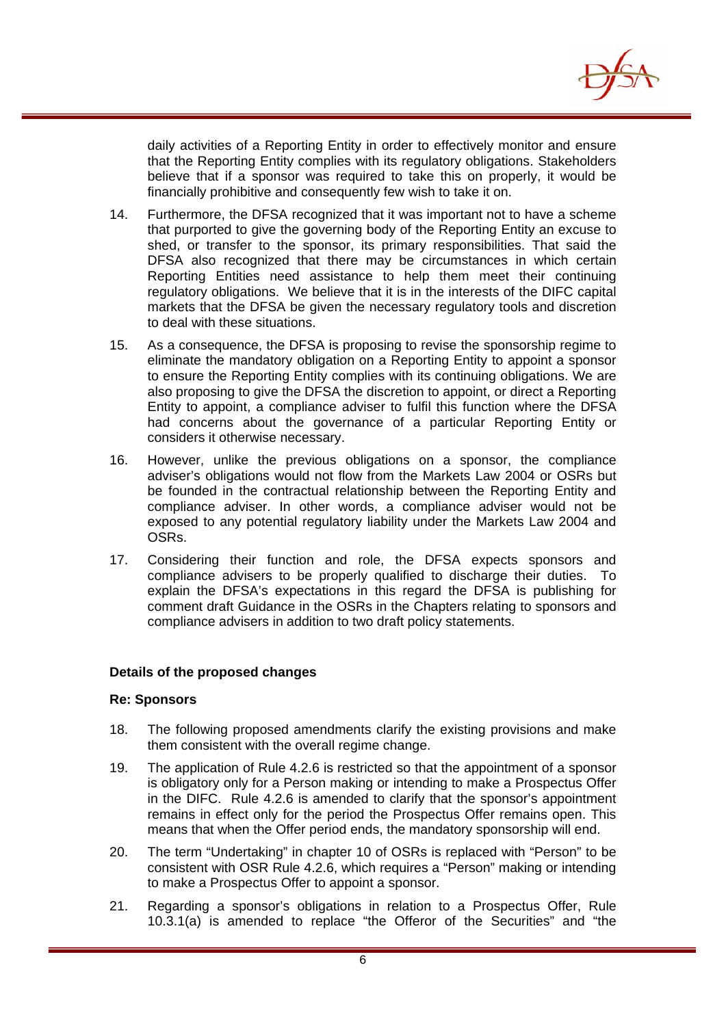

daily activities of a Reporting Entity in order to effectively monitor and ensure that the Reporting Entity complies with its regulatory obligations. Stakeholders believe that if a sponsor was required to take this on properly, it would be financially prohibitive and consequently few wish to take it on.

- 14. Furthermore, the DFSA recognized that it was important not to have a scheme that purported to give the governing body of the Reporting Entity an excuse to shed, or transfer to the sponsor, its primary responsibilities. That said the DFSA also recognized that there may be circumstances in which certain Reporting Entities need assistance to help them meet their continuing regulatory obligations. We believe that it is in the interests of the DIFC capital markets that the DFSA be given the necessary regulatory tools and discretion to deal with these situations.
- 15. As a consequence, the DFSA is proposing to revise the sponsorship regime to eliminate the mandatory obligation on a Reporting Entity to appoint a sponsor to ensure the Reporting Entity complies with its continuing obligations. We are also proposing to give the DFSA the discretion to appoint, or direct a Reporting Entity to appoint, a compliance adviser to fulfil this function where the DFSA had concerns about the governance of a particular Reporting Entity or considers it otherwise necessary.
- 16. However, unlike the previous obligations on a sponsor, the compliance adviser's obligations would not flow from the Markets Law 2004 or OSRs but be founded in the contractual relationship between the Reporting Entity and compliance adviser. In other words, a compliance adviser would not be exposed to any potential regulatory liability under the Markets Law 2004 and OSRs.
- 17. Considering their function and role, the DFSA expects sponsors and compliance advisers to be properly qualified to discharge their duties. To explain the DFSA's expectations in this regard the DFSA is publishing for comment draft Guidance in the OSRs in the Chapters relating to sponsors and compliance advisers in addition to two draft policy statements.

# **Details of the proposed changes**

#### **Re: Sponsors**

- 18. The following proposed amendments clarify the existing provisions and make them consistent with the overall regime change.
- 19. The application of Rule 4.2.6 is restricted so that the appointment of a sponsor is obligatory only for a Person making or intending to make a Prospectus Offer in the DIFC. Rule 4.2.6 is amended to clarify that the sponsor's appointment remains in effect only for the period the Prospectus Offer remains open. This means that when the Offer period ends, the mandatory sponsorship will end.
- 20. The term "Undertaking" in chapter 10 of OSRs is replaced with "Person" to be consistent with OSR Rule 4.2.6, which requires a "Person" making or intending to make a Prospectus Offer to appoint a sponsor.
- 21. Regarding a sponsor's obligations in relation to a Prospectus Offer, Rule 10.3.1(a) is amended to replace "the Offeror of the Securities" and "the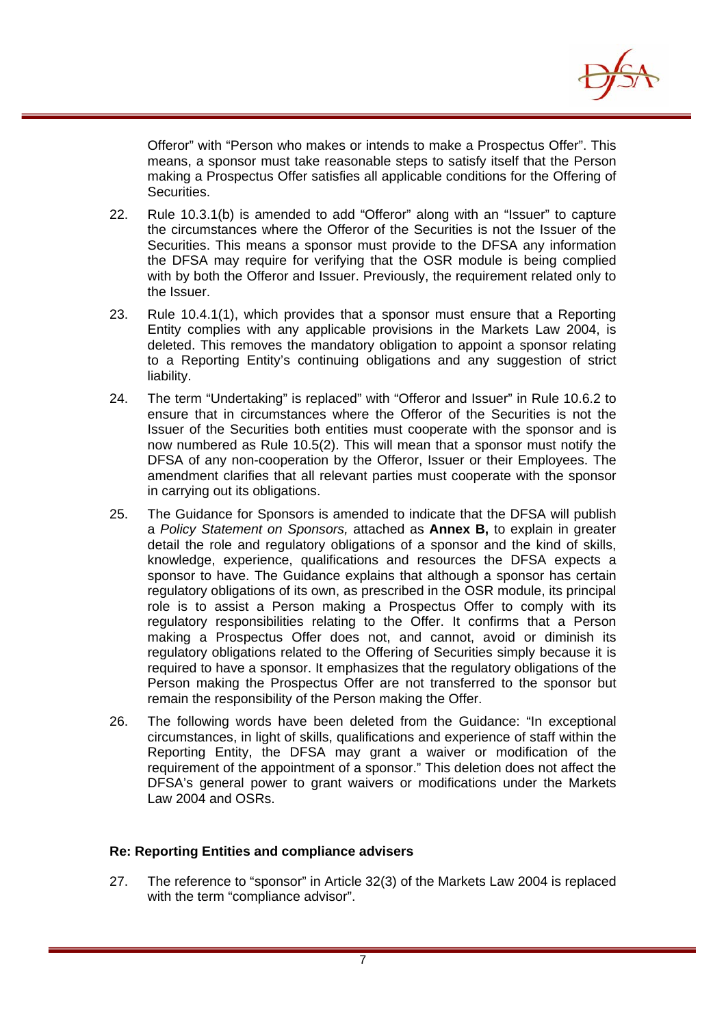

Offeror" with "Person who makes or intends to make a Prospectus Offer". This means, a sponsor must take reasonable steps to satisfy itself that the Person making a Prospectus Offer satisfies all applicable conditions for the Offering of Securities.

- 22. Rule 10.3.1(b) is amended to add "Offeror" along with an "Issuer" to capture the circumstances where the Offeror of the Securities is not the Issuer of the Securities. This means a sponsor must provide to the DFSA any information the DFSA may require for verifying that the OSR module is being complied with by both the Offeror and Issuer. Previously, the requirement related only to the Issuer.
- 23. Rule 10.4.1(1), which provides that a sponsor must ensure that a Reporting Entity complies with any applicable provisions in the Markets Law 2004, is deleted. This removes the mandatory obligation to appoint a sponsor relating to a Reporting Entity's continuing obligations and any suggestion of strict liability.
- 24. The term "Undertaking" is replaced" with "Offeror and Issuer" in Rule 10.6.2 to ensure that in circumstances where the Offeror of the Securities is not the Issuer of the Securities both entities must cooperate with the sponsor and is now numbered as Rule 10.5(2). This will mean that a sponsor must notify the DFSA of any non-cooperation by the Offeror, Issuer or their Employees. The amendment clarifies that all relevant parties must cooperate with the sponsor in carrying out its obligations.
- 25. The Guidance for Sponsors is amended to indicate that the DFSA will publish a *Policy Statement on Sponsors,* attached as **Annex B,** to explain in greater detail the role and regulatory obligations of a sponsor and the kind of skills, knowledge, experience, qualifications and resources the DFSA expects a sponsor to have. The Guidance explains that although a sponsor has certain regulatory obligations of its own, as prescribed in the OSR module, its principal role is to assist a Person making a Prospectus Offer to comply with its regulatory responsibilities relating to the Offer. It confirms that a Person making a Prospectus Offer does not, and cannot, avoid or diminish its regulatory obligations related to the Offering of Securities simply because it is required to have a sponsor. It emphasizes that the regulatory obligations of the Person making the Prospectus Offer are not transferred to the sponsor but remain the responsibility of the Person making the Offer.
- 26. The following words have been deleted from the Guidance: "In exceptional circumstances, in light of skills, qualifications and experience of staff within the Reporting Entity, the DFSA may grant a waiver or modification of the requirement of the appointment of a sponsor." This deletion does not affect the DFSA's general power to grant waivers or modifications under the Markets Law 2004 and OSRs.

# **Re: Reporting Entities and compliance advisers**

27. The reference to "sponsor" in Article 32(3) of the Markets Law 2004 is replaced with the term "compliance advisor".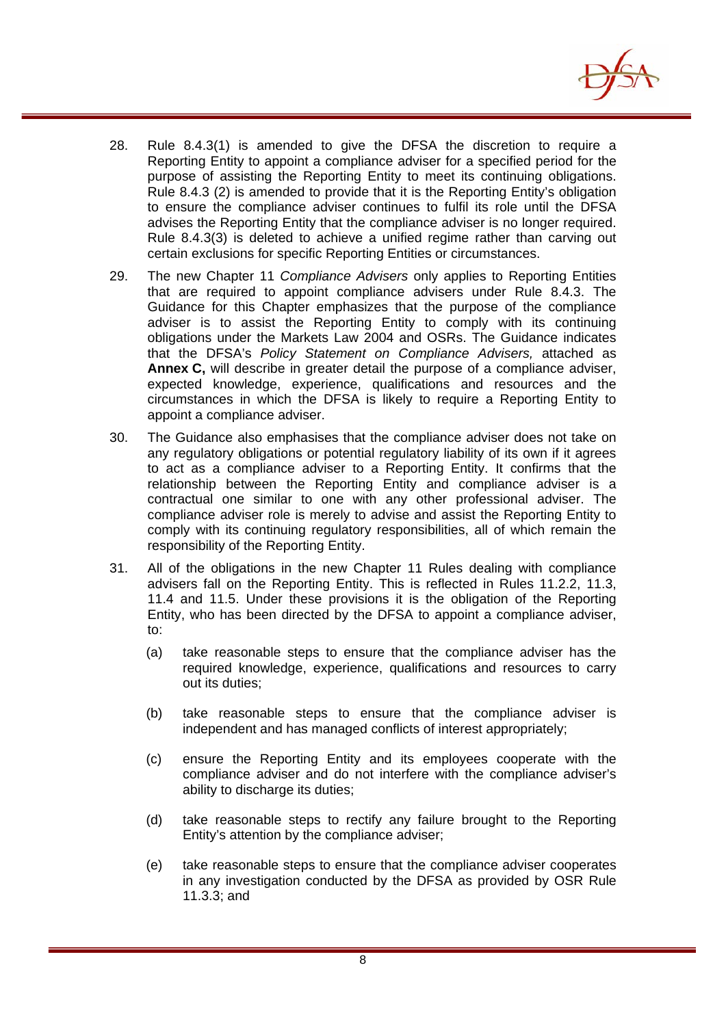

- 28. Rule 8.4.3(1) is amended to give the DFSA the discretion to require a Reporting Entity to appoint a compliance adviser for a specified period for the purpose of assisting the Reporting Entity to meet its continuing obligations. Rule 8.4.3 (2) is amended to provide that it is the Reporting Entity's obligation to ensure the compliance adviser continues to fulfil its role until the DFSA advises the Reporting Entity that the compliance adviser is no longer required. Rule 8.4.3(3) is deleted to achieve a unified regime rather than carving out certain exclusions for specific Reporting Entities or circumstances.
- 29. The new Chapter 11 *Compliance Advisers* only applies to Reporting Entities that are required to appoint compliance advisers under Rule 8.4.3. The Guidance for this Chapter emphasizes that the purpose of the compliance adviser is to assist the Reporting Entity to comply with its continuing obligations under the Markets Law 2004 and OSRs. The Guidance indicates that the DFSA's *Policy Statement on Compliance Advisers,* attached as **Annex C,** will describe in greater detail the purpose of a compliance adviser, expected knowledge, experience, qualifications and resources and the circumstances in which the DFSA is likely to require a Reporting Entity to appoint a compliance adviser.
- 30. The Guidance also emphasises that the compliance adviser does not take on any regulatory obligations or potential regulatory liability of its own if it agrees to act as a compliance adviser to a Reporting Entity. It confirms that the relationship between the Reporting Entity and compliance adviser is a contractual one similar to one with any other professional adviser. The compliance adviser role is merely to advise and assist the Reporting Entity to comply with its continuing regulatory responsibilities, all of which remain the responsibility of the Reporting Entity.
- 31. All of the obligations in the new Chapter 11 Rules dealing with compliance advisers fall on the Reporting Entity. This is reflected in Rules 11.2.2, 11.3, 11.4 and 11.5. Under these provisions it is the obligation of the Reporting Entity, who has been directed by the DFSA to appoint a compliance adviser, to:
	- (a) take reasonable steps to ensure that the compliance adviser has the required knowledge, experience, qualifications and resources to carry out its duties;
	- (b) take reasonable steps to ensure that the compliance adviser is independent and has managed conflicts of interest appropriately;
	- (c) ensure the Reporting Entity and its employees cooperate with the compliance adviser and do not interfere with the compliance adviser's ability to discharge its duties;
	- (d) take reasonable steps to rectify any failure brought to the Reporting Entity's attention by the compliance adviser;
	- (e) take reasonable steps to ensure that the compliance adviser cooperates in any investigation conducted by the DFSA as provided by OSR Rule 11.3.3; and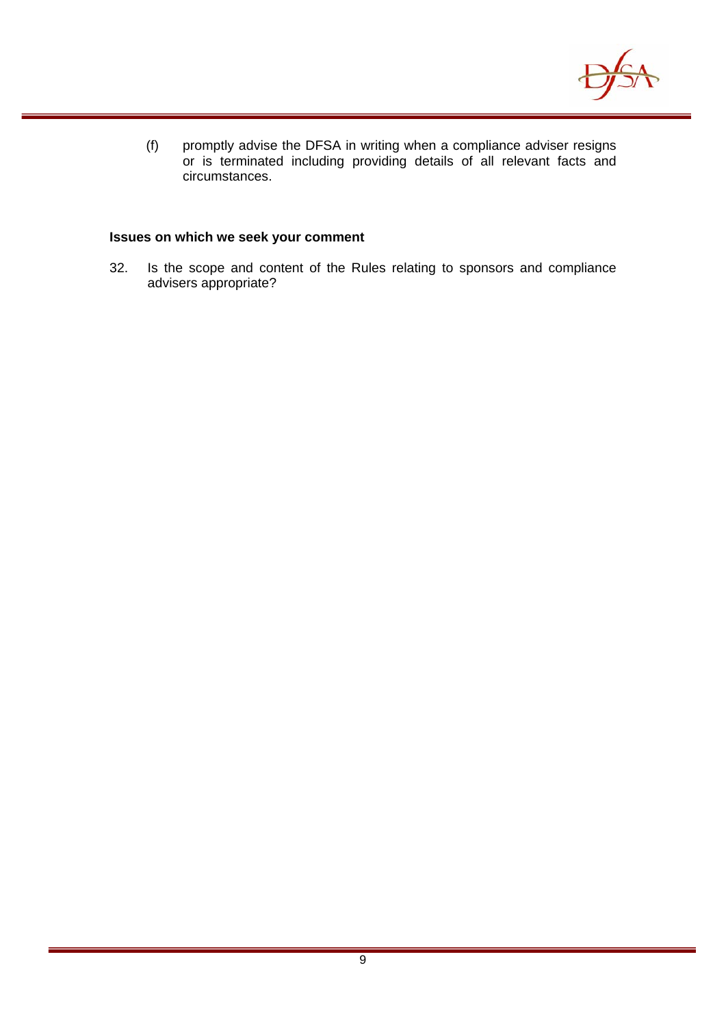

(f) promptly advise the DFSA in writing when a compliance adviser resigns or is terminated including providing details of all relevant facts and circumstances.

### **Issues on which we seek your comment**

32. Is the scope and content of the Rules relating to sponsors and compliance advisers appropriate?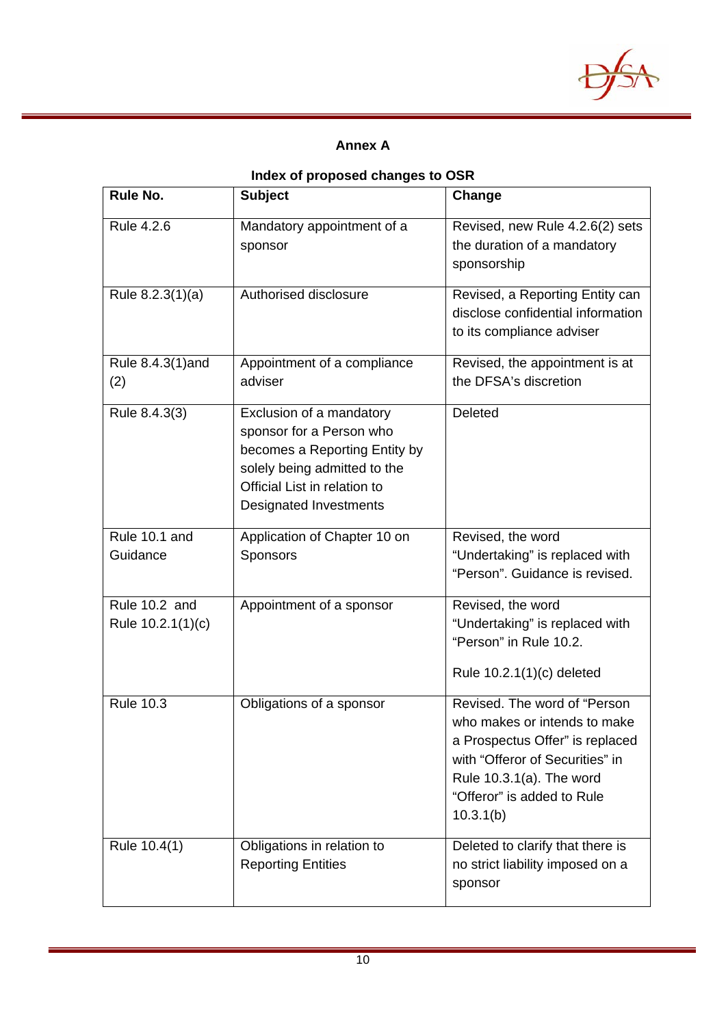

# **Annex A**

# **Index of proposed changes to OSR**

| Rule No.                           | <b>Subject</b>                                                                                                                                                                  | Change                                                                                                                                                                                                    |
|------------------------------------|---------------------------------------------------------------------------------------------------------------------------------------------------------------------------------|-----------------------------------------------------------------------------------------------------------------------------------------------------------------------------------------------------------|
| Rule 4.2.6                         | Mandatory appointment of a<br>sponsor                                                                                                                                           | Revised, new Rule 4.2.6(2) sets<br>the duration of a mandatory<br>sponsorship                                                                                                                             |
| Rule 8.2.3(1)(a)                   | Authorised disclosure                                                                                                                                                           | Revised, a Reporting Entity can<br>disclose confidential information<br>to its compliance adviser                                                                                                         |
| Rule 8.4.3(1)and<br>(2)            | Appointment of a compliance<br>adviser                                                                                                                                          | Revised, the appointment is at<br>the DFSA's discretion                                                                                                                                                   |
| Rule 8.4.3(3)                      | Exclusion of a mandatory<br>sponsor for a Person who<br>becomes a Reporting Entity by<br>solely being admitted to the<br>Official List in relation to<br>Designated Investments | Deleted                                                                                                                                                                                                   |
| Rule 10.1 and<br>Guidance          | Application of Chapter 10 on<br>Sponsors                                                                                                                                        | Revised, the word<br>"Undertaking" is replaced with<br>"Person". Guidance is revised.                                                                                                                     |
| Rule 10.2 and<br>Rule 10.2.1(1)(c) | Appointment of a sponsor                                                                                                                                                        | Revised, the word<br>"Undertaking" is replaced with<br>"Person" in Rule 10.2.<br>Rule 10.2.1(1)(c) deleted                                                                                                |
| <b>Rule 10.3</b>                   | Obligations of a sponsor                                                                                                                                                        | Revised. The word of "Person<br>who makes or intends to make<br>a Prospectus Offer" is replaced<br>with "Offeror of Securities" in<br>Rule 10.3.1(a). The word<br>"Offeror" is added to Rule<br>10.3.1(b) |
| Rule 10.4(1)                       | Obligations in relation to<br><b>Reporting Entities</b>                                                                                                                         | Deleted to clarify that there is<br>no strict liability imposed on a<br>sponsor                                                                                                                           |